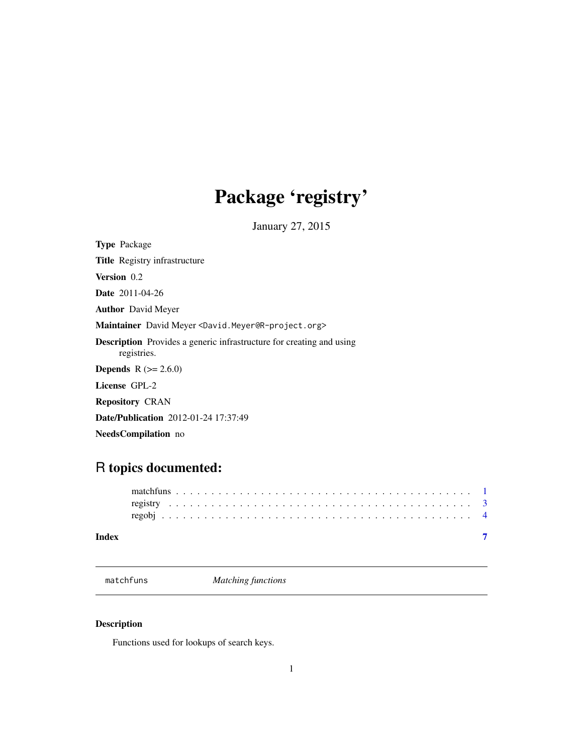## <span id="page-0-0"></span>Package 'registry'

January 27, 2015

<span id="page-0-1"></span>Type Package Title Registry infrastructure Version 0.2 Date 2011-04-26 Author David Meyer Maintainer David Meyer <David.Meyer@R-project.org> Description Provides a generic infrastructure for creating and using registries. **Depends**  $R$  ( $>= 2.6.0$ ) License GPL-2 Repository CRAN Date/Publication 2012-01-24 17:37:49

NeedsCompilation no

### R topics documented:

### **Index** [7](#page-6-0) **7**

<span id="page-0-2"></span>matchfuns *Matching functions*

### Description

Functions used for lookups of search keys.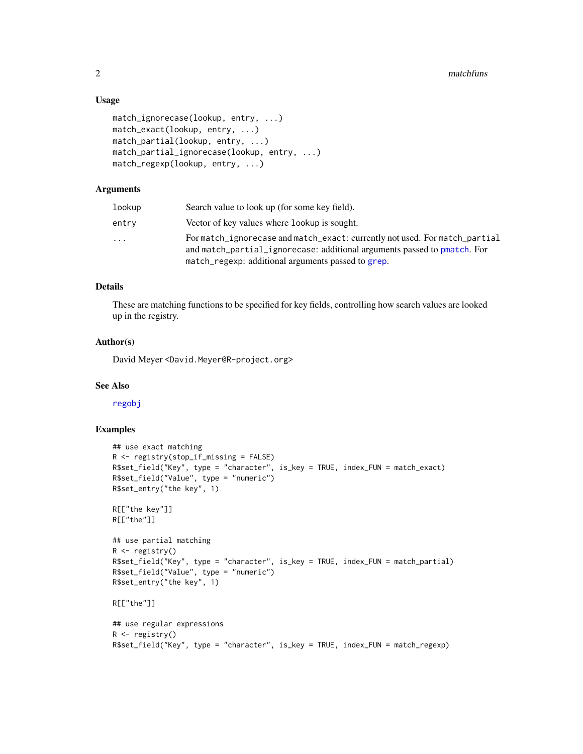### Usage

```
match_ignorecase(lookup, entry, ...)
match_exact(lookup, entry, ...)
match_partial(lookup, entry, ...)
match_partial_ignorecase(lookup, entry, ...)
match_regexp(lookup, entry, ...)
```
### Arguments

| lookup                  | Search value to look up (for some key field).                                                                                                                                                                 |
|-------------------------|---------------------------------------------------------------------------------------------------------------------------------------------------------------------------------------------------------------|
| entrv                   | Vector of key values where lookup is sought.                                                                                                                                                                  |
| $\cdot$ $\cdot$ $\cdot$ | For match_ignorecase and match_exact: currently not used. For match_partial<br>and match_partial_ignorecase: additional arguments passed to pmatch. For<br>match_regexp: additional arguments passed to grep. |

### Details

These are matching functions to be specified for key fields, controlling how search values are looked up in the registry.

### Author(s)

David Meyer <David.Meyer@R-project.org>

### See Also

[regobj](#page-3-1)

### Examples

```
## use exact matching
R <- registry(stop_if_missing = FALSE)
R$set_field("Key", type = "character", is_key = TRUE, index_FUN = match_exact)
R$set_field("Value", type = "numeric")
R$set_entry("the key", 1)
R[["the key"]]
R[["the"]]
## use partial matching
R <- registry()
R$set_field("Key", type = "character", is_key = TRUE, index_FUN = match_partial)
R$set_field("Value", type = "numeric")
R$set_entry("the key", 1)
R[["the"]]
## use regular expressions
R \leftarrow \text{registery}()R$set_field("Key", type = "character", is_key = TRUE, index_FUN = match_regexp)
```
<span id="page-1-0"></span>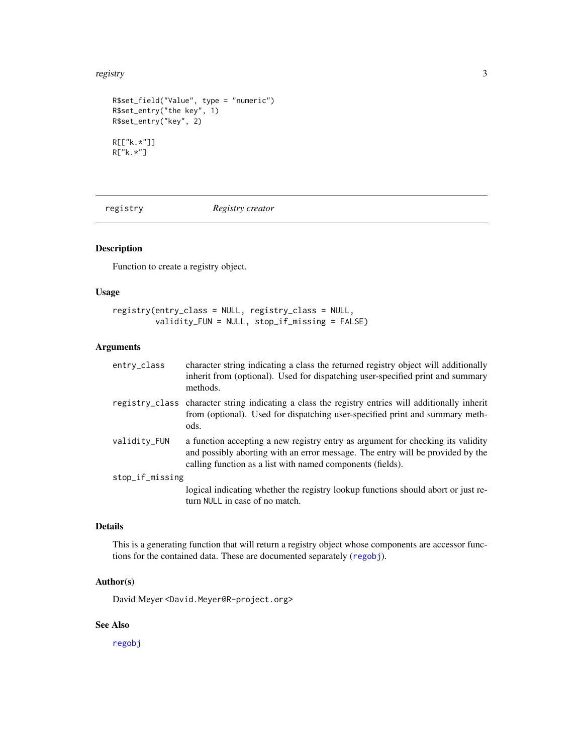### <span id="page-2-0"></span>registry 3

```
R$set_field("Value", type = "numeric")
R$set_entry("the key", 1)
R$set_entry("key", 2)
R[["k.*"]]
R["k.*"]
```
<span id="page-2-1"></span>registry *Registry creator*

### Description

Function to create a registry object.

### Usage

```
registry(entry_class = NULL, registry_class = NULL,
        validity_FUN = NULL, stop_if_missing = FALSE)
```
turn NULL in case of no match.

### Arguments

| entry_class     | character string indicating a class the returned registry object will additionally<br>inherit from (optional). Used for dispatching user-specified print and summary<br>methods.                                                |
|-----------------|---------------------------------------------------------------------------------------------------------------------------------------------------------------------------------------------------------------------------------|
|                 | registry_class character string indicating a class the registry entries will additionally inherit<br>from (optional). Used for dispatching user-specified print and summary meth-<br>ods.                                       |
| validity_FUN    | a function accepting a new registry entry as argument for checking its validity<br>and possibly aborting with an error message. The entry will be provided by the<br>calling function as a list with named components (fields). |
| stop_if_missing |                                                                                                                                                                                                                                 |
|                 | logical indicating whether the registry lookup functions should abort or just re-                                                                                                                                               |

### Details

This is a generating function that will return a registry object whose components are accessor functions for the contained data. These are documented separately ([regobj](#page-3-1)).

### Author(s)

David Meyer <David.Meyer@R-project.org>

### See Also

[regobj](#page-3-1)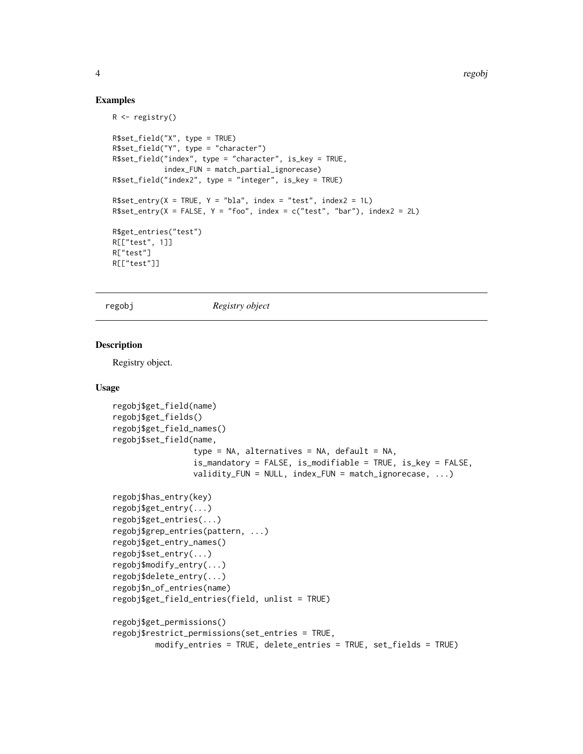4 regobject to the contract of the contract of the contract of the contract of the contract of the contract of the contract of the contract of the contract of the contract of the contract of the contract of the contract of

### Examples

```
R \leftarrow \text{registery}()R$set_field("X", type = TRUE)
R$set_field("Y", type = "character")
R$set_field("index", type = "character", is_key = TRUE,
            index_FUN = match_partial_ignorecase)
R$set_field("index2", type = "integer", is_key = TRUE)
R$set_entry(X = TRUE, Y = "bla", index = "test", index2 = 1L)
R$set_entry(X = FALSE, Y = "foo", index = c("test", "bar"), index2 = 2L)R$get_entries("test")
R[["test", 1]]
R["test"]
R[["test"]]
```
<span id="page-3-1"></span>regobj *Registry object*

### Description

Registry object.

### Usage

```
regobj$get_field(name)
regobj$get_fields()
regobj$get_field_names()
regobj$set_field(name,
                 type = NA, alternatives = NA, default = NA,
                 is_mandatory = FALSE, is_modifiable = TRUE, is_key = FALSE,
                 validity_FUN = NULL, index_FUN = match_ignorecase, ...)
regobj$has_entry(key)
regobj$get_entry(...)
regobj$get_entries(...)
regobj$grep_entries(pattern, ...)
regobj$get_entry_names()
regobj$set_entry(...)
regobj$modify_entry(...)
regobj$delete_entry(...)
regobj$n_of_entries(name)
regobj$get_field_entries(field, unlist = TRUE)
regobj$get_permissions()
regobj$restrict_permissions(set_entries = TRUE,
        modify_entries = TRUE, delete_entries = TRUE, set_fields = TRUE)
```
<span id="page-3-0"></span>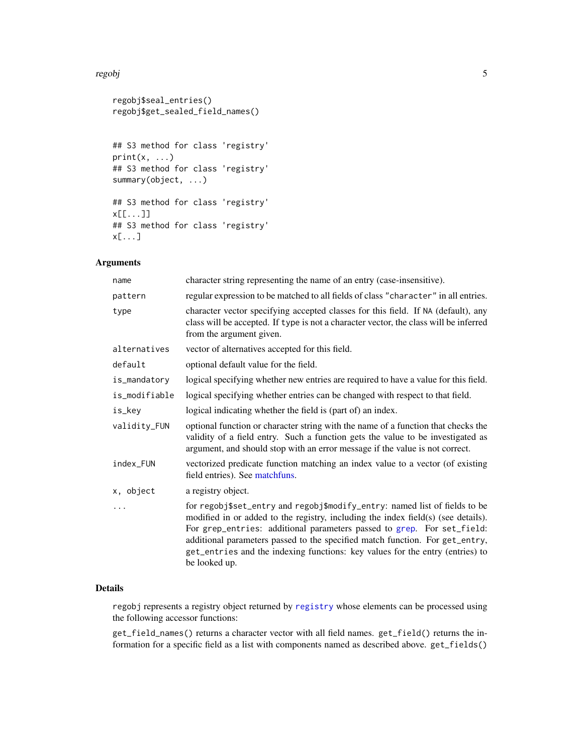### <span id="page-4-0"></span>regobj i Santon e Santon e Santon e Santon e Santon e Santon e Santon e Santon e Santon e Santon e Santon e Sa

```
regobj$seal_entries()
regobj$get_sealed_field_names()
## S3 method for class 'registry'
print(x, \ldots)## S3 method for class 'registry'
summary(object, ...)
## S3 method for class 'registry'
x[[...]]
## S3 method for class 'registry'
x[...]
```
### Arguments

| name          | character string representing the name of an entry (case-insensitive).                                                                                                                                                                                                                                                                                                                                                      |
|---------------|-----------------------------------------------------------------------------------------------------------------------------------------------------------------------------------------------------------------------------------------------------------------------------------------------------------------------------------------------------------------------------------------------------------------------------|
| pattern       | regular expression to be matched to all fields of class "character" in all entries.                                                                                                                                                                                                                                                                                                                                         |
| type          | character vector specifying accepted classes for this field. If NA (default), any<br>class will be accepted. If type is not a character vector, the class will be inferred<br>from the argument given.                                                                                                                                                                                                                      |
| alternatives  | vector of alternatives accepted for this field.                                                                                                                                                                                                                                                                                                                                                                             |
| default       | optional default value for the field.                                                                                                                                                                                                                                                                                                                                                                                       |
| is_mandatory  | logical specifying whether new entries are required to have a value for this field.                                                                                                                                                                                                                                                                                                                                         |
| is_modifiable | logical specifying whether entries can be changed with respect to that field.                                                                                                                                                                                                                                                                                                                                               |
| is_key        | logical indicating whether the field is (part of) an index.                                                                                                                                                                                                                                                                                                                                                                 |
| validity_FUN  | optional function or character string with the name of a function that checks the<br>validity of a field entry. Such a function gets the value to be investigated as<br>argument, and should stop with an error message if the value is not correct.                                                                                                                                                                        |
| index_FUN     | vectorized predicate function matching an index value to a vector (of existing<br>field entries). See matchfuns.                                                                                                                                                                                                                                                                                                            |
| x, object     | a registry object.                                                                                                                                                                                                                                                                                                                                                                                                          |
| .             | for regobj\$set_entry and regobj\$modify_entry: named list of fields to be<br>modified in or added to the registry, including the index field(s) (see details).<br>For grep_entries: additional parameters passed to grep. For set_field:<br>additional parameters passed to the specified match function. For get_entry,<br>get_entries and the indexing functions: key values for the entry (entries) to<br>be looked up. |

### Details

regobj represents a registry object returned by [registry](#page-2-1) whose elements can be processed using the following accessor functions:

get\_field\_names() returns a character vector with all field names. get\_field() returns the information for a specific field as a list with components named as described above. get\_fields()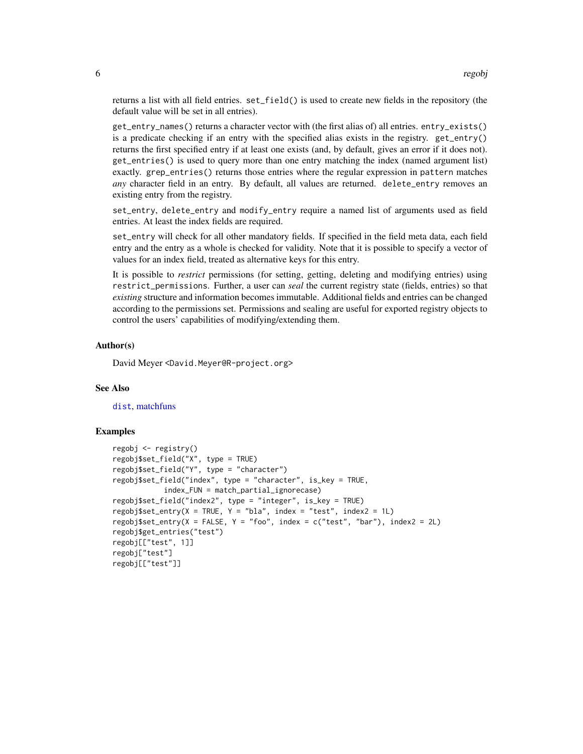<span id="page-5-0"></span>returns a list with all field entries. set\_field() is used to create new fields in the repository (the default value will be set in all entries).

get\_entry\_names() returns a character vector with (the first alias of) all entries. entry\_exists() is a predicate checking if an entry with the specified alias exists in the registry. get\_entry() returns the first specified entry if at least one exists (and, by default, gives an error if it does not). get\_entries() is used to query more than one entry matching the index (named argument list) exactly. grep\_entries() returns those entries where the regular expression in pattern matches *any* character field in an entry. By default, all values are returned. delete\_entry removes an existing entry from the registry.

set\_entry, delete\_entry and modify\_entry require a named list of arguments used as field entries. At least the index fields are required.

set\_entry will check for all other mandatory fields. If specified in the field meta data, each field entry and the entry as a whole is checked for validity. Note that it is possible to specify a vector of values for an index field, treated as alternative keys for this entry.

It is possible to *restrict* permissions (for setting, getting, deleting and modifying entries) using restrict\_permissions. Further, a user can *seal* the current registry state (fields, entries) so that *existing* structure and information becomes immutable. Additional fields and entries can be changed according to the permissions set. Permissions and sealing are useful for exported registry objects to control the users' capabilities of modifying/extending them.

### Author(s)

David Meyer <David.Meyer@R-project.org>

### See Also

[dist](#page-0-1), [matchfuns](#page-0-2)

#### Examples

```
regobj <- registry()
regobj$set_field("X", type = TRUE)
regobj$set_field("Y", type = "character")
regobj$set_field("index", type = "character", is_key = TRUE,
            index_FUN = match_partial_ignorecase)
regobj$set_field("index2", type = "integer", is_key = TRUE)
regobj$set_entry(X = TRUE, Y = "bla", index = "test", index2 = 1L)regobj$set_entry(X = FALSE, Y = "foo", index = c("test", "bar"), index2 = 2L)
regobj$get_entries("test")
regobj[["test", 1]]
regobj["test"]
regobj[["test"]]
```